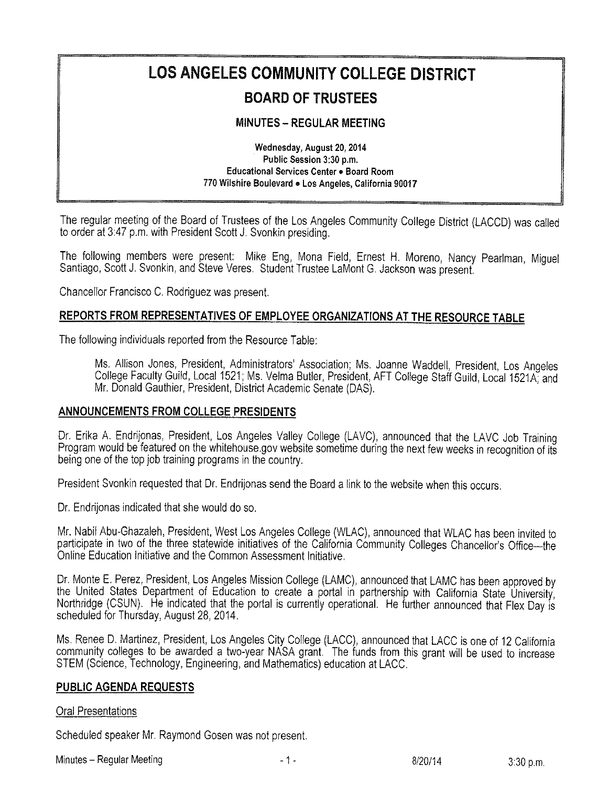# LOS ANGELES COMMUNITY COLLEGE DISTRICT

# BOARD OF TRUSTEES

### **MINUTES - REGULAR MEETING**

Wednesday, August 20,2014 Public Session 3:30 p.m. Educational Services Center . Board Room 770 Wilshire Boulevard . Los Angeles, California 90017

The regular meeting of the Board of Trustees of the Los Angeies Community College District (LACCD) was called to order at 3:47 p.m. with President Scott J, Svonkin presiding.

The following members were present: Mike Eng, Mona Field, Ernest H. Moreno, Nancy Pearlman, Miguel Santiago, Scott J. Svonkin, and Steve Veres. Student Trustee LaMont G. Jackson was present.

Chancellor Francisco C. Rodriguez was present.

## REPORTS FROM REPRESENTATIVES OF EMPLOYEE ORGANIZATIONS AT THE RESOURCE TABLE

The following individuals reported from the Resource Table;

Ms. Allison Jones, President, Administrators' Association; Ms. Joanne Waddell, President, Los Angeles College Faculty Guild, Local 1521; Ms, Velma Butler, President, AFT College Staff Guild, Local 1521A, and Mr. Donald Gauthier, President, District Academic Senate (DAS).

#### ANNOUNCEMENTS FROM COLLEGE PRESIDENTS

Dr. Erika A. Endrijonas, President, Los Angeles Valley College (LAVC), announced that the LAVC Job Training Program would be featured on the whitehouse gov website sometime during the next few weeks in recognition of its being one of the top job training programs in the country.

President Svonkin requested that Dr. Endrijonas send the Board a link to the website when this occurs.

Dr, Endrijonas indicated that she wouid do so.

Mr. Nabil Abu-Ghazaleh, President, West Los Angeles College (WLAC), announced that WLAC has been invited to participate in two of the three statewide initiatives of the California Community Colleges Chancellor's Office-the<br>Online Education Initiative and the Common Assessment Initiative.

Dr. Monte E. Perez, President, Los Angeles Mission College (LAMC), announced that LAMC has been approved by the United States Department of Education to create a portal in partnership with California State University, Northridge (CSUN). He indicated that the portal is currently operational. He further announced that Flex Day is scheduled for Thursday, August 28, 2014.

Ms. Renee D. Martinez, President, Los Angeles City College (LACC), announced that LACC is one of 12 California community colleges to be awarded a two-year NASA grant.' The funds from this grant will be used to increase STEM (Science, Technology, Engineering, and Mathematics) education at LACC.

#### PUBLIC AGENDA REQUESTS

#### Oral Presentations

Scheduled speaker Mr. Raymond Gosen was not present.

Minutes – Regular Meeting **Accord 2:30 p.m. and 2:30 p.m. and 3:30 p.m. b**  $\frac{8}{20}$ /14 3:30 p.m.